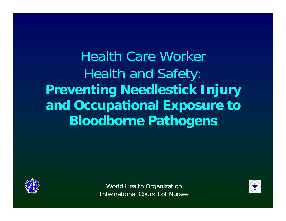Health Care Worker Health and Safety: **Preventing Needlestick Injury and Occupational Exposure to Bloodborne Pathogens**



World Health Organization International Council of Nurses

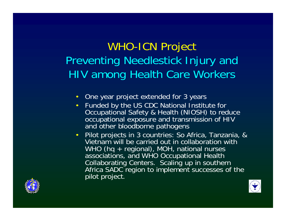# WHO-ICN Project Preventing Needlestick Injury and HIV among Health Care Workers

- $\bullet$ One year project extended for 3 years
- • Funded by the US CDC National Institute for Occupational Safety & Health (NIOSH) to reduce occupational exposure and transmission of HIV and other bloodborne pathogens
- $\bullet$  Pilot projects in 3 countries: So Africa, Tanzania, & Vietnam will be carried out in collaboration with WHO (hq + regional), MOH, national nurses associations, and WHO Occupational Health Collaborating Centers. Scaling up in southern Africa SADC region to implement successes of the pilot project.



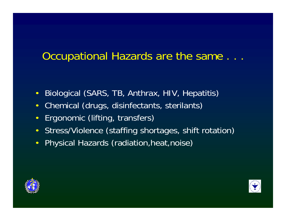### Occupational Hazards are the same . . .

- $\bullet$ Biological (SARS, TB, Anthrax, HIV, Hepatitis)
- $\bullet$ Chemical (drugs, disinfectants, sterilants)
- $\bullet$ Ergonomic (lifting, transfers)
- $\bullet$ Stress/Violence (staffing shortages, shift rotation)
- $\bullet$ Physical Hazards (radiation, heat, noise)



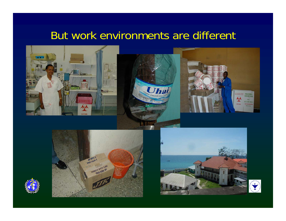### But work environments are different







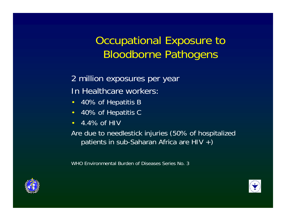# Occupational Exposure to Bloodborne Pathogens

2 million exposures per year In Healthcare workers:

- 40% of Hepatitis B
- 40% of Hepatitis C
- $\cdot$  4.4% of HIV

Are due to needlestick injuries (50% of hospitalized patients in sub-Saharan Africa are HIV +)

WHO Environmental Burden of Diseases Series No. 3



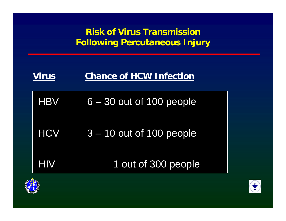**Risk of Virus Transmission Following Percutaneous Injury**

| <b>Virus</b> | <b>Chance of HCW Infection</b> |
|--------------|--------------------------------|
|              | HBV 6-30 out of 100 people     |
| <b>HCV</b>   | $3 - 10$ out of 100 people     |
| <b>HIV</b>   | 1 out of 300 people            |
|              |                                |



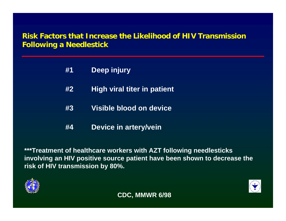#### **Risk Factors that Increase the Likelihood of HIV Transmission Following a Needlestick**

- **#1 Deep injury**
- **#2 High viral titer in patient**
- **#3 Visible blood on device**
- **#4 Device in artery/vein**

**\*\*\*Treatment of healthcare workers with AZT following needlesticks involving an HIV positive source patient have been shown to decrease the risk of HIV transmission by 80%.**



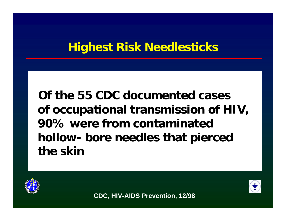# **Highest Risk Needlesticks**

**Of the 55 CDC documented cases of occupational transmission of HIV, 90% were from contaminated hollow- bore needles that pierced the skin**





**CDC, HIV-AIDS Prevention, 12/98**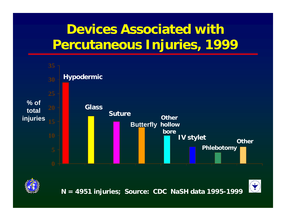# **Devices Associated with Percutaneous Injuries, 1999**





**N = 4951 injuries; Source: CDC NaSH data 1995-1999**

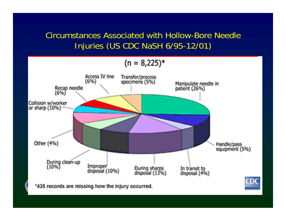#### Circumstances Associated with Hollow-Bore Needle Injuries (US CDC NaSH 6/95-12/01)

$$
(n = 8,225)^{*}
$$

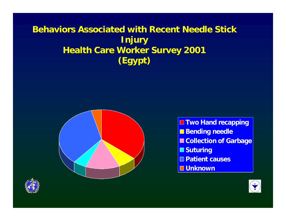#### **Behaviors Associated with Recent Needle Stick Injury Health Care Worker Survey 2001 (Egypt)**





**Two Hand recapping Bending needle E Collection of Garbage Suturing Patient causesUnknown**

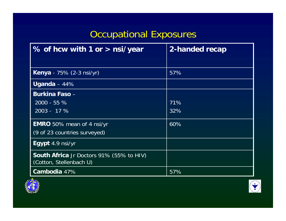# Occupational Exposures

| % of hcw with 1 or > nsi/year                                              | 2-handed recap |
|----------------------------------------------------------------------------|----------------|
|                                                                            |                |
| <b>Kenya</b> - 75% (2-3 nsi/yr)                                            | 57%            |
| Uganda – $44\%$                                                            |                |
| <b>Burkina Faso -</b>                                                      |                |
| $2000 - 55 \%$                                                             | 71%            |
| $2003 - 17%$                                                               | 32%            |
| <b>EMRO</b> 50% mean of 4 nsi/yr                                           | 60%            |
| (9 of 23 countries surveyed)                                               |                |
| Egypt 4.9 nsi/yr                                                           |                |
| <b>South Africa</b> Jr Doctors 91% (55% to HIV)<br>(Cotton, Stellenbach U) |                |
| Cambodia 47%                                                               | 57%            |



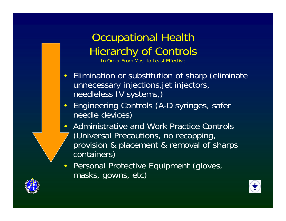# Occupational Health Hierarchy of Controls

In Order From Most to Least Effective

- Elimination or substitution of sharp (eliminate unnecessary injections,jet injectors, needleless IV systems,)
- $\bullet$  Engineering Controls (A-D syringes, safer needle devices)
- $\bullet$  Administrative and Work Practice Controls (Universal Precautions, no recapping, provision & placement & removal of sharps containers)
- $\bullet$  Personal Protective Equipment (gloves, masks, gowns, etc)



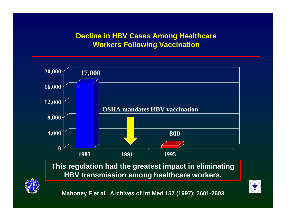#### **Decline in HBV Cases Among Healthcare Workers Following Vaccination**



**This regulation had the greatest impact in eliminating HBV transmission among healthcare workers.**

**Mahoney F et al. Archives of Int Med 157 (1997): 2601-2603**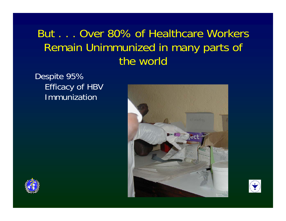## But . . . Over 80% of Healthcare Workers Remain Unimmunized in many parts of the world

Despite 95% Efficacy of HBV Immunization





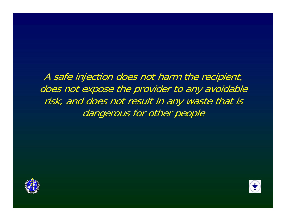A safe injection does not harm the recipient, does not expose the provider to any avoidable risk, and does not result in any waste that is dangerous for other people



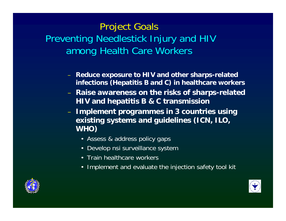### Project Goals Preventing Needlestick Injury and HIV among Health Care Workers

- **Reduce exposure to HIV and other sharps-related infections (Hepatitis B and C) in healthcare workers**
- – **Raise awareness on the risks of sharps-related HIV and hepatitis B & C transmission**
- **Implement programmes in 3 countries using existing systems and guidelines (ICN, ILO, WHO)**
	- Assess & address policy gaps
	- Develop nsi surveillance system
	- Train healthcare workers
	- Implement and evaluate the injection safety tool kit



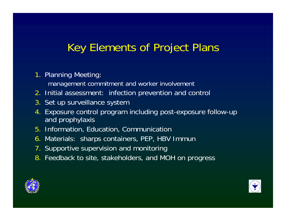# Key Elements of Project Plans

#### 1. Planning Meeting:

management commitment and worker involvement

- 2. Initial assessment: infection prevention and control
- 3. Set up surveillance system
- 4. Exposure control program including post-exposure follow-up and prophylaxis
- 5. Information, Education, Communication
- 6. Materials: sharps containers, PEP, HBV Immun
- 7. Supportive supervision and monitoring
- 8. Feedback to site, stakeholders, and MOH on progress



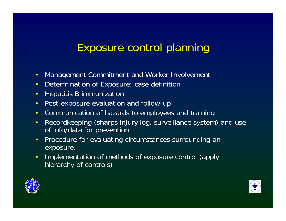## Exposure control planning

- $\bullet$ Management Commitment and Worker Involvement
- $\bullet$ Determination of Exposure: case definition
- $\bullet$ Hepatitis B immunization
- $\bullet$ Post-exposure evaluation and follow-up
- $\bullet$ Communication of hazards to employees and training
- $\bullet$  Recordkeeping (sharps injury log, surveillance system) and use of info/data for prevention
- $\bullet$  Procedure for evaluating circumstances surrounding an exposure.
- $\bullet$  Implementation of methods of exposure control (apply hierarchy of controls)



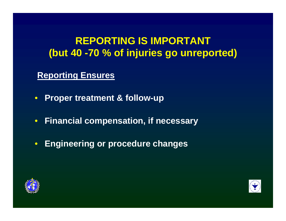#### **REPORTING IS IMPORTANT (but 40 -70 % of injuries go unreported)**

#### **Reporting Ensures**

- **Proper treatment & follow-up**
- $\bullet$ **Financial compensation, if necessary**
- $\bullet$ **Engineering or procedure changes**



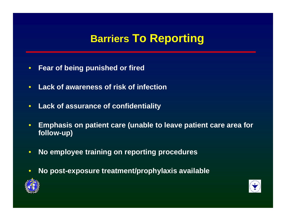### **Barriers To Reporting**

- $\bullet$ **Fear of being punished or fired**
- $\bullet$ **Lack of awareness of risk of infection**
- $\bullet$ **Lack of assurance of confidentiality**
- $\bullet$  **Emphasis on patient care (unable to leave patient care area for follow-up)**
- $\bullet$ **No employee training on reporting procedures**
- $\bullet$ **No post-exposure treatment/prophylaxis available**



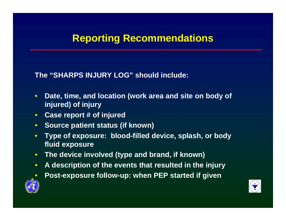#### **Reporting Recommendations**

**The "SHARPS INJURY LOG" should include:**

- $\bullet$  **Date, time, and location (work area and site on body of injured) of injury**
- **Case report # of injured**
- **Source patient status (if known)**
- $\bullet$  **Type of exposure: blood-filled device, splash, or body fluid exposure**
- **The device involved (type and brand, if known)**
- $\bullet$ **A description of the events that resulted in the injury**
- $\bullet$
- **Post-exposure follow-up: when PEP started if given**